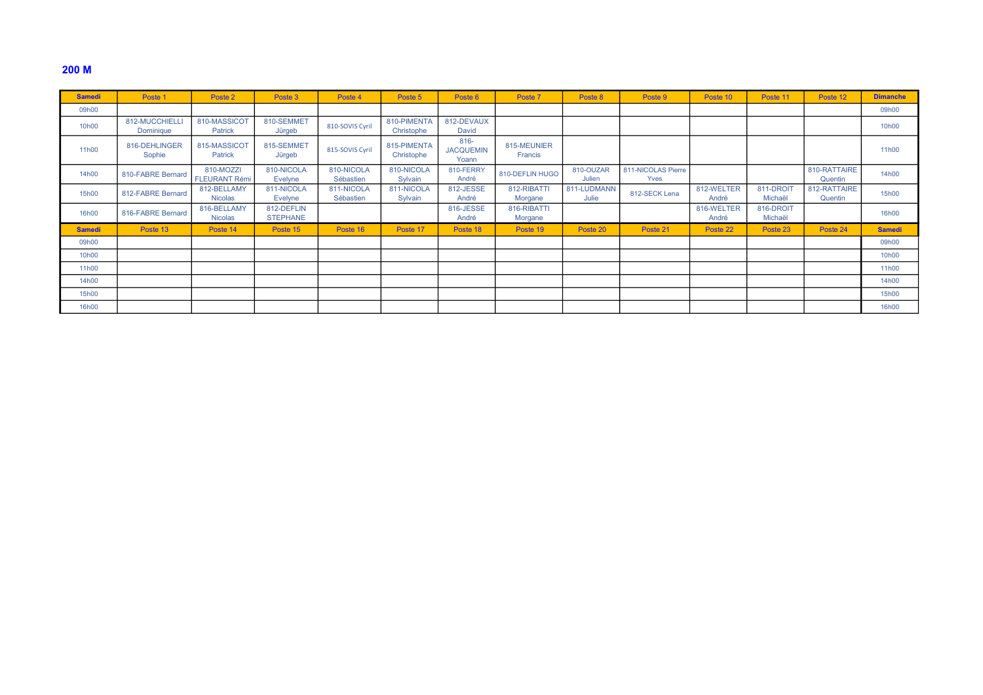## 200 M

| <b>Samedi</b>     | Poste                       | Poste 2                           | Poste 3                       | Poste 4                 | Poste 5                   | Poste 6                              | Poste 7                | Poste 8              | Poste 9                    | Poste 10            | Poste 11             | Poste 12                | <b>Dimanche</b> |
|-------------------|-----------------------------|-----------------------------------|-------------------------------|-------------------------|---------------------------|--------------------------------------|------------------------|----------------------|----------------------------|---------------------|----------------------|-------------------------|-----------------|
| 09h00             |                             |                                   |                               |                         |                           |                                      |                        |                      |                            |                     |                      |                         | 09h00           |
| 10 <sub>h00</sub> | 812-MUCCHIELLI<br>Dominique | 810-MASSICOT<br><b>Patrick</b>    | 810-SEMMET<br>Jürgeb          | 810-SOVIS Cyril         | 810-PIMENTA<br>Christophe | 812-DEVAUX<br>David                  |                        |                      |                            |                     |                      |                         | 10h00           |
| 11h00             | 816-DEHLINGER<br>Sophie     | 815-MASSICOT<br><b>Patrick</b>    | 815-SEMMET<br>Jürgeb          | 815-SOVIS Cyril         | 815-PIMENTA<br>Christophe | $816 -$<br><b>JACQUEMIN</b><br>Yoann | 815-MEUNIER<br>Francis |                      |                            |                     |                      |                         | 11h00           |
| 14h00             | 810-FABRE Bernard           | 810-MOZZI<br><b>FLEURANT Rémi</b> | 810-NICOLA<br><b>Evelyne</b>  | 810-NICOLA<br>Sébastien | 810-NICOLA<br>Sylvain     | 810-FERRY<br>André                   | 810-DEFLIN HUGO        | 810-OUZAR<br>Julien  | 811-NICOLAS Pierre<br>Yves |                     |                      | 810-RATTAIRE<br>Quentin | 14h00           |
| 15h00             | 812-FABRE Bernard           | 812-BELLAMY<br><b>Nicolas</b>     | 811-NICOLA<br><b>Evelyne</b>  | 811-NICOLA<br>Sébastien | 811-NICOLA<br>Sylvain     | 812-JESSE<br>André                   | 812-RIBATTI<br>Morgane | 811-LUDMANN<br>Julie | 812-SECK Lena              | 812-WELTER<br>André | 811-DROIT<br>Michaël | 812-RATTAIRE<br>Quentin | 15h00           |
| 16h00             | 816-FABRE Bernard           | 816-BELLAMY<br><b>Nicolas</b>     | 812-DEFLIN<br><b>STEPHANE</b> |                         |                           | 816-JESSE<br>André                   | 816-RIBATTI<br>Morgane |                      |                            | 816-WELTER<br>André | 816-DROIT<br>Michaël |                         | 16h00           |
| <b>Samedi</b>     | Poste 13                    | Poste 14                          | Poste 15                      | Poste 16                | Poste 17                  | Poste 18                             | Poste 19               | Poste 20             | Poste 21                   | Poste 22            | Poste 23             | Poste 24                | <b>Samedi</b>   |
| 09h00             |                             |                                   |                               |                         |                           |                                      |                        |                      |                            |                     |                      |                         | 09h00           |
| 10h00             |                             |                                   |                               |                         |                           |                                      |                        |                      |                            |                     |                      |                         | 10h00           |
| 11h00             |                             |                                   |                               |                         |                           |                                      |                        |                      |                            |                     |                      |                         | 11h00           |
| 14h00             |                             |                                   |                               |                         |                           |                                      |                        |                      |                            |                     |                      |                         | 14h00           |
| 15h00             |                             |                                   |                               |                         |                           |                                      |                        |                      |                            |                     |                      |                         | 15h00           |
| 16h00             |                             |                                   |                               |                         |                           |                                      |                        |                      |                            |                     |                      |                         | 16h00           |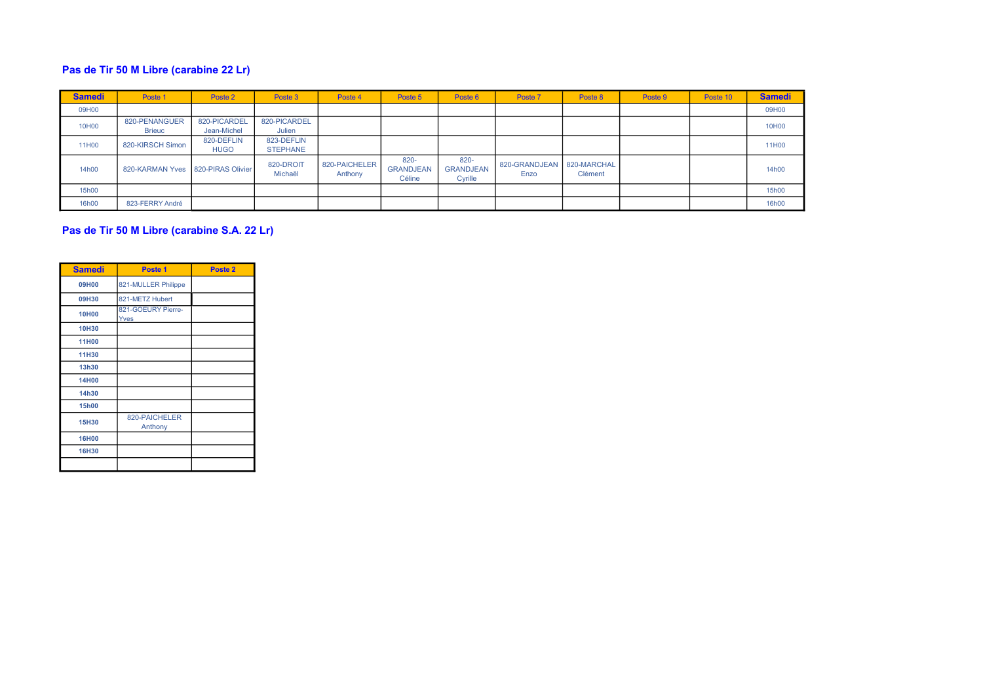## Pas de Tir 50 M Libre (carabine 22 Lr)

| <b>Samedi</b> | Poste 1                           | Poste 2                     | Poste 3                       | Poste 4                  | Poste 5                            | Poste 6                             | Poste 7               | Poste 8                | Poste 9 | Poste 10 | <b>Samedi</b> |
|---------------|-----------------------------------|-----------------------------|-------------------------------|--------------------------|------------------------------------|-------------------------------------|-----------------------|------------------------|---------|----------|---------------|
| 09H00         |                                   |                             |                               |                          |                                    |                                     |                       |                        |         |          | 09H00         |
| 10H00         | 820-PENANGUER<br>Brieuc           | 820-PICARDEL<br>Jean-Michel | 820-PICARDEL<br>Julien        |                          |                                    |                                     |                       |                        |         |          | 10H00         |
| 11H00         | 820-KIRSCH Simon                  | 820-DEFLIN<br><b>HUGO</b>   | 823-DEFLIN<br><b>STEPHANE</b> |                          |                                    |                                     |                       |                        |         |          | 11H00         |
| 14h00         | 820-KARMAN Yves 820-PIRAS Olivier |                             | 820-DROIT<br>Michaël          | 820-PAICHELER<br>Anthony | 820-<br><b>GRANDJEAN</b><br>Céline | 820-<br><b>GRANDJEAN</b><br>Cyrille | 820-GRANDJEAN<br>Enzo | 820-MARCHAL<br>Clément |         |          | 14h00         |
| 15h00         |                                   |                             |                               |                          |                                    |                                     |                       |                        |         |          | 15h00         |
| 16h00         | 823-FERRY André                   |                             |                               |                          |                                    |                                     |                       |                        |         |          | 16h00         |

## Pas de Tir 50 M Libre (carabine S.A. 22 Lr)

| <b>Samedi</b> | Poste 1                    | Poste <sub>2</sub> |
|---------------|----------------------------|--------------------|
| 09H00         | 821-MULLER Philippe        |                    |
| 09H30         | 821-METZ Hubert            |                    |
| <b>10H00</b>  | 821-GOEURY Pierre-<br>Yves |                    |
| 10H30         |                            |                    |
| <b>11H00</b>  |                            |                    |
| 11H30         |                            |                    |
| 13h30         |                            |                    |
| <b>14H00</b>  |                            |                    |
| 14h30         |                            |                    |
| <b>15h00</b>  |                            |                    |
| 15H30         | 820-PAICHELER<br>Anthony   |                    |
| <b>16H00</b>  |                            |                    |
| 16H30         |                            |                    |
|               |                            |                    |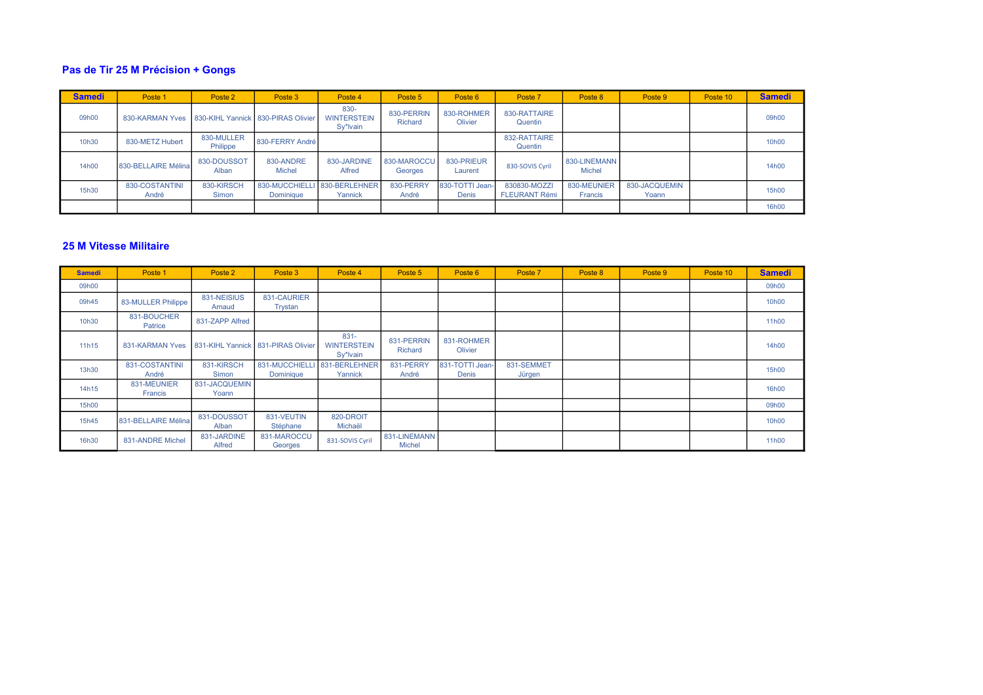## Pas de Tir 25 M Précision + Gongs

| <b>Samedi</b> | Poste 1                 | Poste 2                | Poste 3                                   | Poste 4                                | Poste 5                | Poste 6                  | Poste 7                              | Poste 8                       | Poste 9                | Poste 10 | <b>Samedi</b>      |
|---------------|-------------------------|------------------------|-------------------------------------------|----------------------------------------|------------------------|--------------------------|--------------------------------------|-------------------------------|------------------------|----------|--------------------|
| 09h00         | 830-KARMAN Yves         |                        | 830-KIHL Yannick 830-PIRAS Olivier        | 830-<br><b>WINTERSTEIN</b><br>Sy*lvain | 830-PERRIN<br>Richard  | 830-ROHMER<br>Olivier    | 830-RATTAIRE<br>Quentin              |                               |                        |          | 09h00              |
| 10h30         | 830-METZ Hubert         | 830-MULLER<br>Philippe | 830-FERRY André                           |                                        |                        |                          | 832-RATTAIRE<br>Quentin              |                               |                        |          | 10 <sub>h</sub> 00 |
| 14h00         | 830-BELLAIRE Mélina     | 830-DOUSSOT<br>Alban   | 830-ANDRE<br>Michel                       | 830-JARDINE<br>Alfred                  | 830-MAROCCU<br>Georges | 830-PRIEUR<br>Laurent    | 830-SOVIS Cvril                      | 830-LINEMANN<br><b>Michel</b> |                        |          | 14h00              |
| 15h30         | 830-COSTANTINI<br>André | 830-KIRSCH<br>Simon    | 830-MUCCHIELLI 830-BERLEHNER<br>Dominique | Yannick                                | 830-PERRY<br>André     | 830-TOTTI Jean-<br>Denis | 830830-MOZZI<br><b>FLEURANT Rémi</b> | 830-MEUNIER<br>Francis        | 830-JACQUEMIN<br>Yoann |          | 15h00              |
|               |                         |                        |                                           |                                        |                        |                          |                                      |                               |                        |          | 16h00              |

#### 25 M Vitesse Militaire

| <b>Samedi</b> | Poste 1                       | Poste 2                | Poste 3                              | Poste 4                                   | Poste 5                       | Poste 6                  | Poste 7              | Poste 8 | Poste 9 | Poste 10 | <b>Samedi</b> |
|---------------|-------------------------------|------------------------|--------------------------------------|-------------------------------------------|-------------------------------|--------------------------|----------------------|---------|---------|----------|---------------|
| 09h00         |                               |                        |                                      |                                           |                               |                          |                      |         |         |          | 09h00         |
| 09h45         | 83-MULLER Philippe            | 831-NEISIUS<br>Arnaud  | 831-CAURIER<br>Trystan               |                                           |                               |                          |                      |         |         |          | 10h00         |
| 10h30         | 831-BOUCHER<br>Patrice        | 831-ZAPP Alfred        |                                      |                                           |                               |                          |                      |         |         |          | 11h00         |
| 11h15         | 831-KARMAN Yves               |                        | 831-KIHL Yannick   831-PIRAS Olivier | $831 -$<br><b>WINTERSTEIN</b><br>Sy*lvain | 831-PERRIN<br>Richard         | 831-ROHMER<br>Olivier    |                      |         |         |          | 14h00         |
| 13h30         | 831-COSTANTINI<br>André       | 831-KIRSCH<br>Simon    | 831-MUCCHIELL<br>Dominique           | 831-BERLEHNER<br>Yannick                  | 831-PERRY<br>André            | 831-TOTTI Jean-<br>Denis | 831-SEMMET<br>Jürgen |         |         |          | 15h00         |
| 14h15         | 831-MEUNIER<br><b>Francis</b> | 831-JACQUEMIN<br>Yoann |                                      |                                           |                               |                          |                      |         |         |          | 16h00         |
| 15h00         |                               |                        |                                      |                                           |                               |                          |                      |         |         |          | 09h00         |
| 15h45         | 831-BELLAIRE Mélina           | 831-DOUSSOT<br>Alban   | 831-VEUTIN<br>Stéphane               | 820-DROIT<br>Michaël                      |                               |                          |                      |         |         |          | 10h00         |
| 16h30         | 831-ANDRE Michel              | 831-JARDINE<br>Alfred  | 831-MAROCCU<br>Georges               | 831-SOVIS Cyril                           | 831-LINEMANN<br><b>Michel</b> |                          |                      |         |         |          | 11h00         |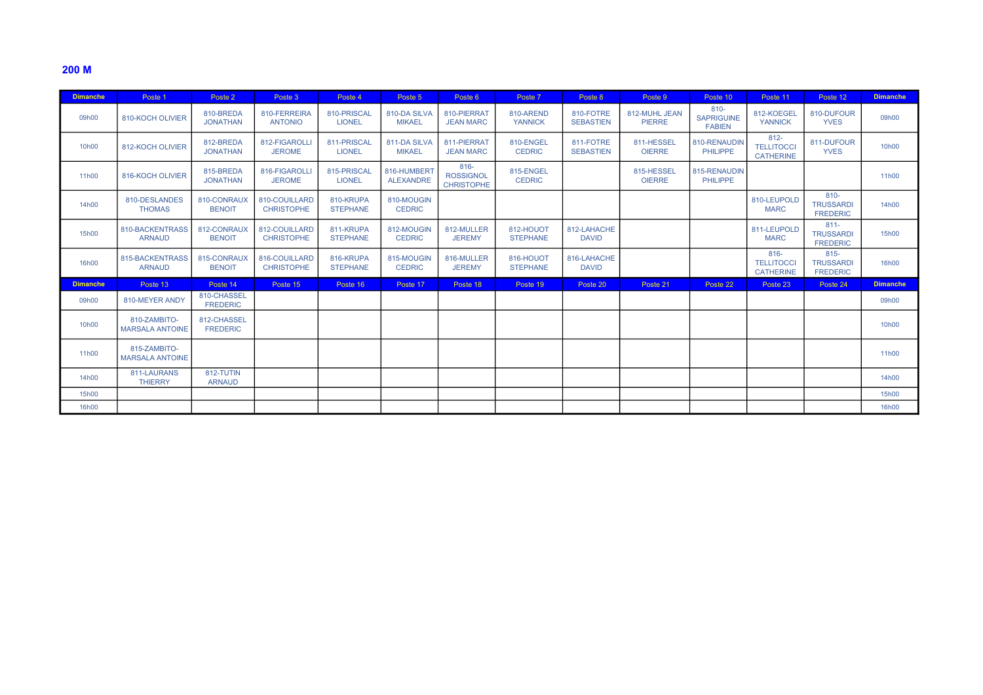## 200 M

| <b>Dimanche</b>    | Poste 1                                | Poste 2                        | Poste 3                            | Poste 4                      | Poste 5                         | Poste 6                                          | Poste 7                      | Poste 8                       | Poste 9                        | Poste 10                                      | Poste 11                                         | Poste 12                                       | <b>Dimanche</b> |
|--------------------|----------------------------------------|--------------------------------|------------------------------------|------------------------------|---------------------------------|--------------------------------------------------|------------------------------|-------------------------------|--------------------------------|-----------------------------------------------|--------------------------------------------------|------------------------------------------------|-----------------|
| 09h00              | 810-KOCH OLIVIER                       | 810-BREDA<br><b>JONATHAN</b>   | 810-FERREIRA<br><b>ANTONIO</b>     | 810-PRISCAL<br><b>LIONEL</b> | 810-DA SILVA<br><b>MIKAEL</b>   | 810-PIERRAT<br><b>JEAN MARC</b>                  | 810-AREND<br><b>YANNICK</b>  | 810-FOTRE<br><b>SEBASTIEN</b> | 812-MUHL JEAN<br><b>PIERRE</b> | $810 -$<br><b>SAPRIGUINE</b><br><b>FABIEN</b> | 812-KOEGEL<br><b>YANNICK</b>                     | 810-DUFOUR<br><b>YVES</b>                      | 09h00           |
| 10 <sub>h</sub> 00 | 812-KOCH OLIVIER                       | 812-BREDA<br><b>JONATHAN</b>   | 812-FIGAROLLI<br><b>JEROME</b>     | 811-PRISCAL<br><b>LIONEL</b> | 811-DA SILVA<br><b>MIKAEL</b>   | 811-PIERRAT<br><b>JEAN MARC</b>                  | 810-ENGEL<br><b>CEDRIC</b>   | 811-FOTRE<br><b>SEBASTIEN</b> | 811-HESSEL<br><b>OIERRE</b>    | 810-RENAUDIN<br><b>PHILIPPE</b>               | $812 -$<br><b>TELLITOCCI</b><br><b>CATHERINE</b> | 811-DUFOUR<br><b>YVES</b>                      | 10h00           |
| 11h00              | 816-KOCH OLIVIER                       | 815-BREDA<br><b>JONATHAN</b>   | 816-FIGAROLLI<br><b>JEROME</b>     | 815-PRISCAL<br><b>LIONEL</b> | 816-HUMBERT<br><b>ALEXANDRE</b> | $816 -$<br><b>ROSSIGNOL</b><br><b>CHRISTOPHE</b> | 815-ENGEL<br><b>CEDRIC</b>   |                               | 815-HESSEL<br><b>OIERRE</b>    | 815-RENAUDIN<br><b>PHILIPPE</b>               |                                                  |                                                | 11h00           |
| 14h00              | 810-DESLANDES<br><b>THOMAS</b>         | 810-CONRAUX<br><b>BENOIT</b>   | 810-COUILLARD<br><b>CHRISTOPHE</b> | 810-KRUPA<br><b>STEPHANE</b> | 810-MOUGIN<br><b>CEDRIC</b>     |                                                  |                              |                               |                                |                                               | 810-LEUPOLD<br><b>MARC</b>                       | $810 -$<br><b>TRUSSARDI</b><br><b>FREDERIC</b> | 14h00           |
| 15h00              | 810-BACKENTRASS<br><b>ARNAUD</b>       | 812-CONRAUX<br><b>BENOIT</b>   | 812-COUILLARD<br><b>CHRISTOPHE</b> | 811-KRUPA<br><b>STEPHANE</b> | 812-MOUGIN<br><b>CEDRIC</b>     | 812-MULLER<br><b>JEREMY</b>                      | 812-HOUOT<br><b>STEPHANE</b> | 812-LAHACHE<br><b>DAVID</b>   |                                |                                               | 811-LEUPOLD<br><b>MARC</b>                       | $811 -$<br><b>TRUSSARDI</b><br><b>FREDERIC</b> | 15h00           |
| 16h00              | 815-BACKENTRASS<br><b>ARNAUD</b>       | 815-CONRAUX<br><b>BENOIT</b>   | 816-COUILLARD<br><b>CHRISTOPHE</b> | 816-KRUPA<br><b>STEPHANE</b> | 815-MOUGIN<br><b>CEDRIC</b>     | 816-MULLER<br><b>JEREMY</b>                      | 816-HOUOT<br><b>STEPHANE</b> | 816-LAHACHE<br><b>DAVID</b>   |                                |                                               | $816 -$<br><b>TELLITOCCI</b><br><b>CATHERINE</b> | $815 -$<br><b>TRUSSARDI</b><br><b>FREDERIC</b> | 16h00           |
| <b>Dimanche</b>    | Poste 13                               | Poste 14                       | Poste 15                           | Poste 16                     | Poste 17                        | Poste 18                                         | Poste 19                     | Poste 20                      | Poste 21                       | Poste 22                                      | Poste 23                                         | Poste 24                                       | <b>Dimanche</b> |
| 09h00              | 810-MEYER ANDY                         | 810-CHASSEL<br><b>FREDERIC</b> |                                    |                              |                                 |                                                  |                              |                               |                                |                                               |                                                  |                                                | 09h00           |
| 10h00              | 810-ZAMBITO-<br><b>MARSALA ANTOINE</b> | 812-CHASSEL<br><b>FREDERIC</b> |                                    |                              |                                 |                                                  |                              |                               |                                |                                               |                                                  |                                                | 10h00           |
| 11h00              | 815-ZAMBITO-<br><b>MARSALA ANTOINE</b> |                                |                                    |                              |                                 |                                                  |                              |                               |                                |                                               |                                                  |                                                | 11h00           |
| 14h00              | 811-LAURANS<br><b>THIERRY</b>          | 812-TUTIN<br><b>ARNAUD</b>     |                                    |                              |                                 |                                                  |                              |                               |                                |                                               |                                                  |                                                | 14h00           |
| 15h00              |                                        |                                |                                    |                              |                                 |                                                  |                              |                               |                                |                                               |                                                  |                                                | 15h00           |
| 16h00              |                                        |                                |                                    |                              |                                 |                                                  |                              |                               |                                |                                               |                                                  |                                                | 16h00           |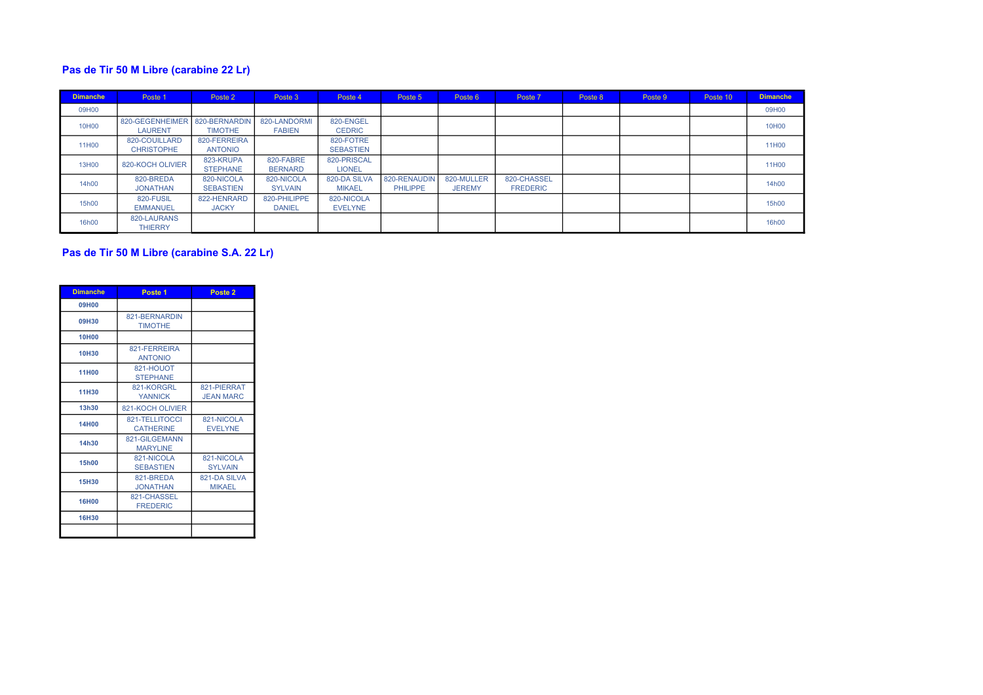## Pas de Tir 50 M Libre (carabine 22 Lr)

| <b>Dimanche</b> | Poste 1                            | Poste 2                         | Poste 3                       | Poste 4                       | Poste 5                         | Poste 6                     | Poste 7                        | Poste 8 | Poste 9 | Poste 10 | <b>Dimanche</b> |
|-----------------|------------------------------------|---------------------------------|-------------------------------|-------------------------------|---------------------------------|-----------------------------|--------------------------------|---------|---------|----------|-----------------|
| 09H00           |                                    |                                 |                               |                               |                                 |                             |                                |         |         |          | 09H00           |
| 10H00           | 820-GEGENHEIMER<br><b>LAURENT</b>  | 820-BERNARDIN<br><b>TIMOTHE</b> | 820-LANDORMI<br><b>FABIEN</b> | 820-ENGEL<br><b>CEDRIC</b>    |                                 |                             |                                |         |         |          | 10H00           |
| 11H00           | 820-COUILLARD<br><b>CHRISTOPHE</b> | 820-FERREIRA<br><b>ANTONIO</b>  |                               | 820-FOTRE<br><b>SEBASTIEN</b> |                                 |                             |                                |         |         |          | 11H00           |
| 13H00           | 820-KOCH OLIVIER                   | 823-KRUPA<br><b>STEPHANE</b>    | 820-FABRE<br><b>BERNARD</b>   | 820-PRISCAL<br><b>LIONEL</b>  |                                 |                             |                                |         |         |          | 11H00           |
| 14h00           | 820-BREDA<br><b>JONATHAN</b>       | 820-NICOLA<br><b>SEBASTIEN</b>  | 820-NICOLA<br><b>SYLVAIN</b>  | 820-DA SILVA<br><b>MIKAEL</b> | 820-RENAUDIN<br><b>PHILIPPE</b> | 820-MULLER<br><b>JEREMY</b> | 820-CHASSEL<br><b>FREDERIC</b> |         |         |          | 14h00           |
| 15h00           | 820-FUSIL<br><b>EMMANUEL</b>       | 822-HENRARD<br><b>JACKY</b>     | 820-PHILIPPE<br><b>DANIEL</b> | 820-NICOLA<br><b>EVELYNE</b>  |                                 |                             |                                |         |         |          | 15h00           |
| 16h00           | 820-LAURANS<br><b>THIERRY</b>      |                                 |                               |                               |                                 |                             |                                |         |         |          | 16h00           |

# Pas de Tir 50 M Libre (carabine S.A. 22 Lr)

| <b>Dimanche</b> | Poste 1                            | Poste 2                         |
|-----------------|------------------------------------|---------------------------------|
| 09H00           |                                    |                                 |
| 09H30           | 821-BERNARDIN<br><b>TIMOTHE</b>    |                                 |
| <b>10H00</b>    |                                    |                                 |
| 10H30           | 821-FERREIRA<br><b>ANTONIO</b>     |                                 |
| <b>11H00</b>    | 821-HOUOT<br><b>STEPHANE</b>       |                                 |
| <b>11H30</b>    | 821-KORGRL<br><b>YANNICK</b>       | 821-PIERRAT<br><b>JEAN MARC</b> |
| 13h30           | 821-KOCH OLIVIER                   |                                 |
| <b>14H00</b>    | 821-TELLITOCCI<br><b>CATHERINE</b> | 821-NICOLA<br><b>EVELYNE</b>    |
| 14h30           | 821-GILGEMANN<br><b>MARYLINE</b>   |                                 |
| <b>15h00</b>    | 821-NICOLA<br><b>SEBASTIEN</b>     | 821-NICOLA<br><b>SYLVAIN</b>    |
| <b>15H30</b>    | 821-BREDA<br><b>JONATHAN</b>       | 821-DA SILVA<br><b>MIKAEL</b>   |
| <b>16H00</b>    | 821-CHASSEL<br><b>FREDERIC</b>     |                                 |
| 16H30           |                                    |                                 |
|                 |                                    |                                 |